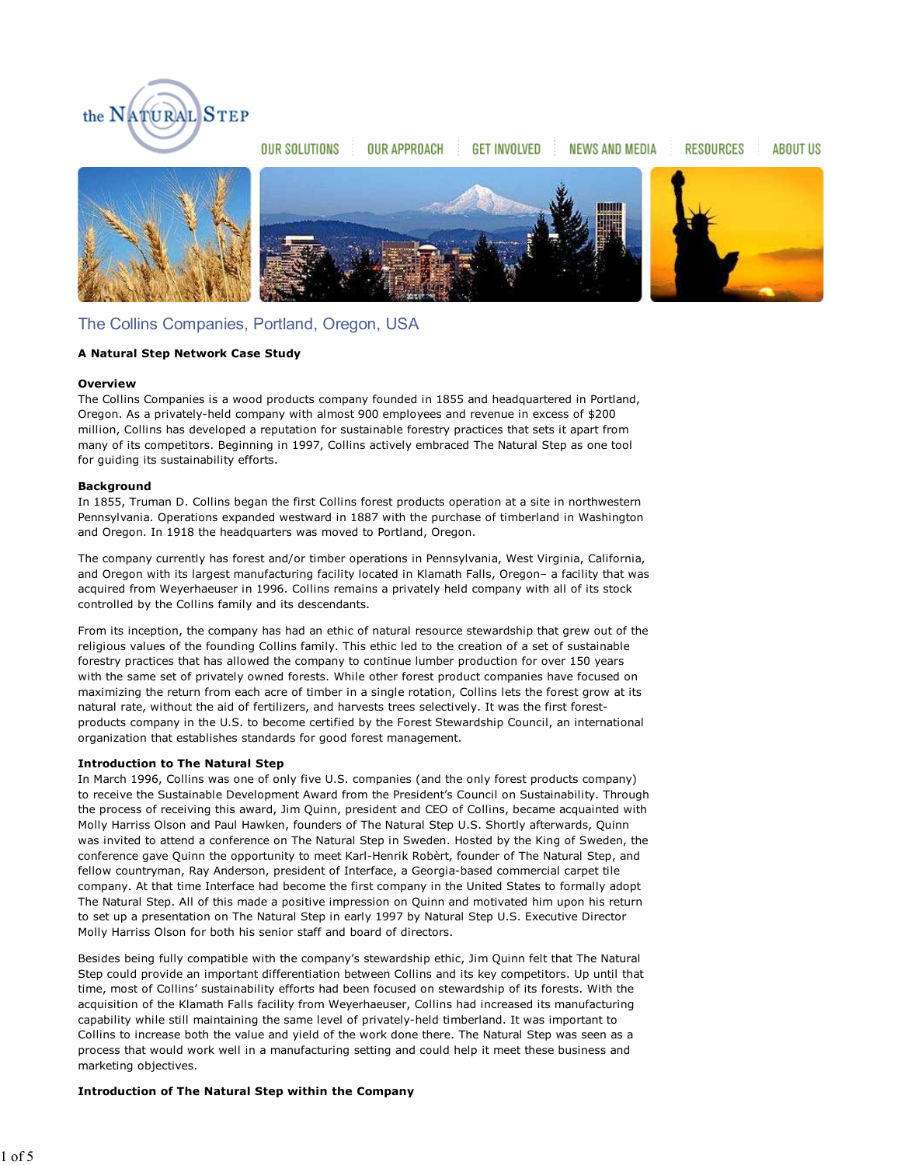

**OUR SOLUTIONS** 

**OUR APPROACH** 

**GET INVOLVED** 

**NEWS AND MEDIA** 

**RESOURCES** 

**ABOUT US** 



# The Collins Companies, Portland, Oregon, USA

# **A Natural Step Network Case Study**

# **Overview**

The Collins Companies is a wood products company founded in 1855 and headquartered in Portland, Oregon. As a privately-held company with almost 900 employees and revenue in excess of \$200 million, Collins has developed a reputation for sustainable forestry practices that sets it apart from many of its competitors. Beginning in 1997, Collins actively embraced The Natural Step as one tool for guiding its sustainability efforts.

### **Background**

In 1855, Truman D. Collins began the first Collins forest products operation at a site in northwestern Pennsylvania. Operations expanded westward in 1887 with the purchase of timberland in Washington and Oregon. In 1918 the headquarters was moved to Portland, Oregon.

The company currently has forest and/or timber operations in Pennsylvania, West Virginia, California, and Oregon with its largest manufacturing facility located in Klamath Falls, Oregon– a facility that was acquired from Weyerhaeuser in 1996. Collins remains a privately held company with all of its stock controlled by the Collins family and its descendants.

From its inception, the company has had an ethic of natural resource stewardship that grew out of the religious values of the founding Collins family. This ethic led to the creation of a set of sustainable forestry practices that has allowed the company to continue lumber production for over 150 years with the same set of privately owned forests. While other forest product companies have focused on maximizing the return from each acre of timber in a single rotation, Collins lets the forest grow at its natural rate, without the aid of fertilizers, and harvests trees selectively. It was the first forestproducts company in the U.S. to become certified by the Forest Stewardship Council, an international organization that establishes standards for good forest management.

# **Introduction to The Natural Step**

In March 1996, Collins was one of only five U.S. companies (and the only forest products company) to receive the Sustainable Development Award from the President's Council on Sustainability. Through the process of receiving this award, Jim Quinn, president and CEO of Collins, became acquainted with Molly Harriss Olson and Paul Hawken, founders of The Natural Step U.S. Shortly afterwards, Quinn was invited to attend a conference on The Natural Step in Sweden. Hosted by the King of Sweden, the conference gave Quinn the opportunity to meet Karl-Henrik Robèrt, founder of The Natural Step, and fellow countryman, Ray Anderson, president of Interface, a Georgia-based commercial carpet tile company. At that time Interface had become the first company in the United States to formally adopt The Natural Step. All of this made a positive impression on Quinn and motivated him upon his return to set up a presentation on The Natural Step in early 1997 by Natural Step U.S. Executive Director Molly Harriss Olson for both his senior staff and board of directors.

Besides being fully compatible with the company's stewardship ethic, Jim Quinn felt that The Natural Step could provide an important differentiation between Collins and its key competitors. Up until that time, most of Collins' sustainability efforts had been focused on stewardship of its forests. With the acquisition of the Klamath Falls facility from Weyerhaeuser, Collins had increased its manufacturing capability while still maintaining the same level of privately-held timberland. It was important to Collins to increase both the value and yield of the work done there. The Natural Step was seen as a process that would work well in a manufacturing setting and could help it meet these business and marketing objectives.

### **Introduction of The Natural Step within the Company**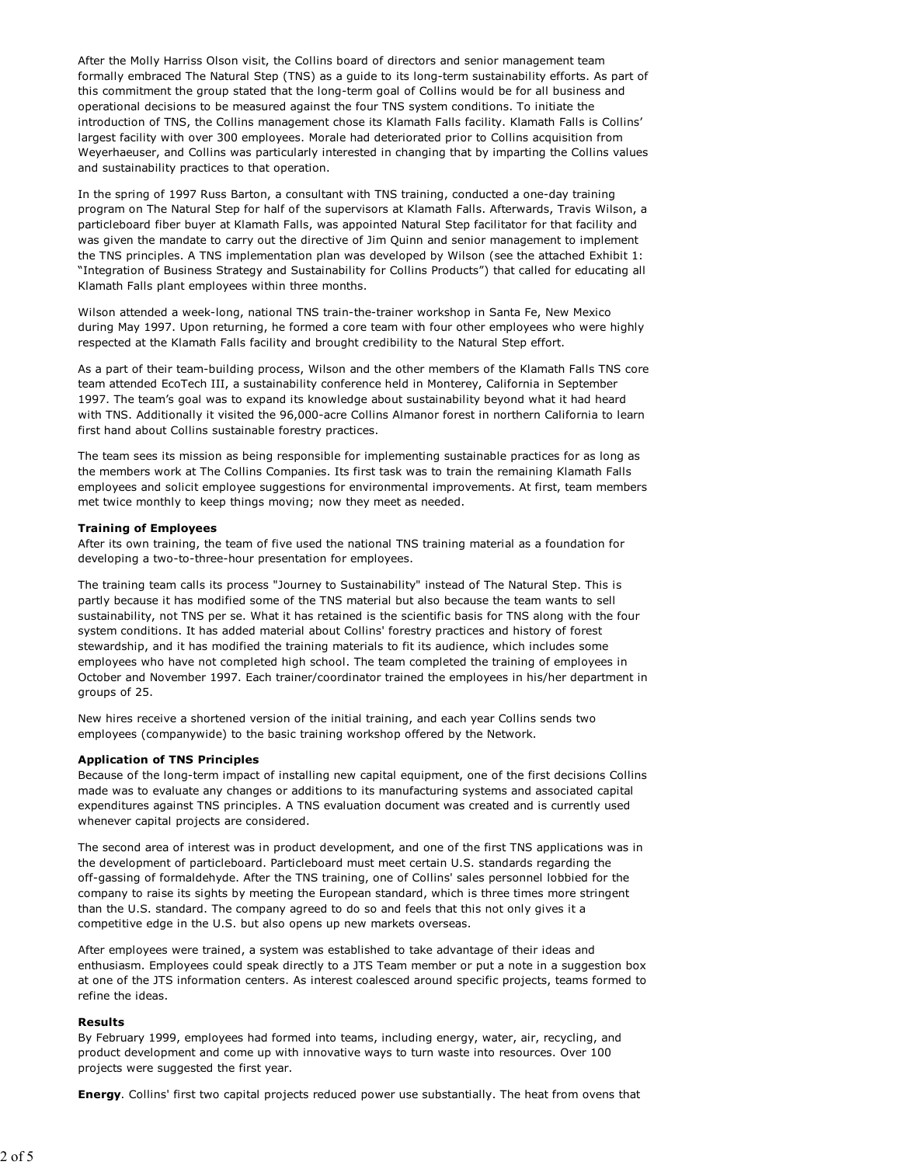After the Molly Harriss Olson visit, the Collins board of directors and senior management team formally embraced The Natural Step (TNS) as a guide to its long-term sustainability efforts. As part of this commitment the group stated that the long-term goal of Collins would be for all business and operational decisions to be measured against the four TNS system conditions. To initiate the introduction of TNS, the Collins management chose its Klamath Falls facility. Klamath Falls is Collins' largest facility with over 300 employees. Morale had deteriorated prior to Collins acquisition from Weyerhaeuser, and Collins was particularly interested in changing that by imparting the Collins values and sustainability practices to that operation.

In the spring of 1997 Russ Barton, a consultant with TNS training, conducted a one-day training program on The Natural Step for half of the supervisors at Klamath Falls. Afterwards, Travis Wilson, a particleboard fiber buyer at Klamath Falls, was appointed Natural Step facilitator for that facility and was given the mandate to carry out the directive of Jim Quinn and senior management to implement the TNS principles. A TNS implementation plan was developed by Wilson (see the attached Exhibit 1: "Integration of Business Strategy and Sustainability for Collins Products") that called for educating all Klamath Falls plant employees within three months.

Wilson attended a week-long, national TNS train-the-trainer workshop in Santa Fe, New Mexico during May 1997. Upon returning, he formed a core team with four other employees who were highly respected at the Klamath Falls facility and brought credibility to the Natural Step effort.

As a part of their team-building process, Wilson and the other members of the Klamath Falls TNS core team attended EcoTech III, a sustainability conference held in Monterey, California in September 1997. The team's goal was to expand its knowledge about sustainability beyond what it had heard with TNS. Additionally it visited the 96,000-acre Collins Almanor forest in northern California to learn first hand about Collins sustainable forestry practices.

The team sees its mission as being responsible for implementing sustainable practices for as long as the members work at The Collins Companies. Its first task was to train the remaining Klamath Falls employees and solicit employee suggestions for environmental improvements. At first, team members met twice monthly to keep things moving; now they meet as needed.

#### **Training of Employees**

After its own training, the team of five used the national TNS training material as a foundation for developing a two-to-three-hour presentation for employees.

The training team calls its process "Journey to Sustainability" instead of The Natural Step. This is partly because it has modified some of the TNS material but also because the team wants to sell sustainability, not TNS per se. What it has retained is the scientific basis for TNS along with the four system conditions. It has added material about Collins' forestry practices and history of forest stewardship, and it has modified the training materials to fit its audience, which includes some employees who have not completed high school. The team completed the training of employees in October and November 1997. Each trainer/coordinator trained the employees in his/her department in groups of 25.

New hires receive a shortened version of the initial training, and each year Collins sends two employees (companywide) to the basic training workshop offered by the Network.

#### **Application of TNS Principles**

Because of the long-term impact of installing new capital equipment, one of the first decisions Collins made was to evaluate any changes or additions to its manufacturing systems and associated capital expenditures against TNS principles. A TNS evaluation document was created and is currently used whenever capital projects are considered.

The second area of interest was in product development, and one of the first TNS applications was in the development of particleboard. Particleboard must meet certain U.S. standards regarding the off-gassing of formaldehyde. After the TNS training, one of Collins' sales personnel lobbied for the company to raise its sights by meeting the European standard, which is three times more stringent than the U.S. standard. The company agreed to do so and feels that this not only gives it a competitive edge in the U.S. but also opens up new markets overseas.

After employees were trained, a system was established to take advantage of their ideas and enthusiasm. Employees could speak directly to a JTS Team member or put a note in a suggestion box at one of the JTS information centers. As interest coalesced around specific projects, teams formed to refine the ideas.

#### **Results**

By February 1999, employees had formed into teams, including energy, water, air, recycling, and product development and come up with innovative ways to turn waste into resources. Over 100 projects were suggested the first year.

**Energy**. Collins' first two capital projects reduced power use substantially. The heat from ovens that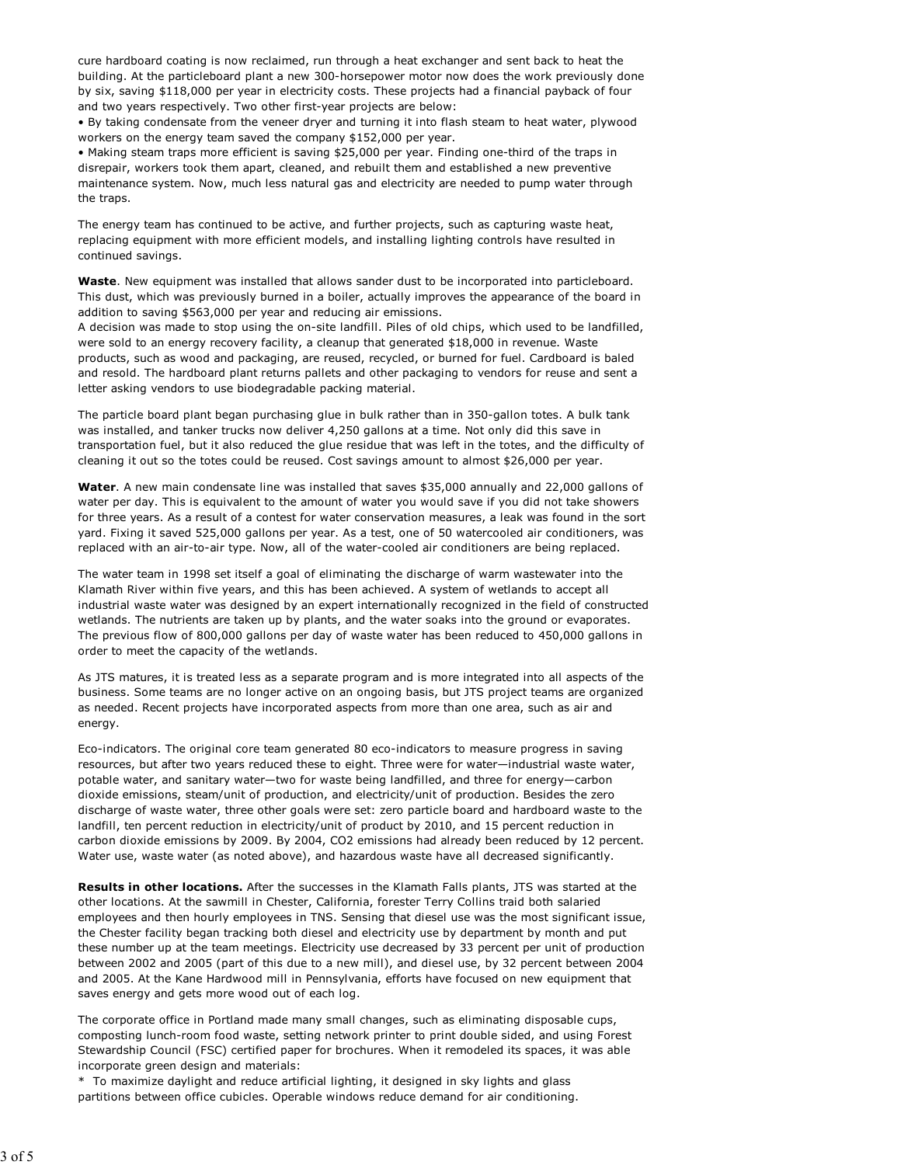cure hardboard coating is now reclaimed, run through a heat exchanger and sent back to heat the building. At the particleboard plant a new 300-horsepower motor now does the work previously done by six, saving \$118,000 per year in electricity costs. These projects had a financial payback of four and two years respectively. Two other first-year projects are below:

• By taking condensate from the veneer dryer and turning it into flash steam to heat water, plywood workers on the energy team saved the company \$152,000 per year.

• Making steam traps more efficient is saving \$25,000 per year. Finding one-third of the traps in disrepair, workers took them apart, cleaned, and rebuilt them and established a new preventive maintenance system. Now, much less natural gas and electricity are needed to pump water through the traps.

The energy team has continued to be active, and further projects, such as capturing waste heat, replacing equipment with more efficient models, and installing lighting controls have resulted in continued savings.

**Waste**. New equipment was installed that allows sander dust to be incorporated into particleboard. This dust, which was previously burned in a boiler, actually improves the appearance of the board in addition to saving \$563,000 per year and reducing air emissions.

A decision was made to stop using the on-site landfill. Piles of old chips, which used to be landfilled, were sold to an energy recovery facility, a cleanup that generated \$18,000 in revenue. Waste products, such as wood and packaging, are reused, recycled, or burned for fuel. Cardboard is baled and resold. The hardboard plant returns pallets and other packaging to vendors for reuse and sent a letter asking vendors to use biodegradable packing material.

The particle board plant began purchasing glue in bulk rather than in 350-gallon totes. A bulk tank was installed, and tanker trucks now deliver 4,250 gallons at a time. Not only did this save in transportation fuel, but it also reduced the glue residue that was left in the totes, and the difficulty of cleaning it out so the totes could be reused. Cost savings amount to almost \$26,000 per year.

**Water**. A new main condensate line was installed that saves \$35,000 annually and 22,000 gallons of water per day. This is equivalent to the amount of water you would save if you did not take showers for three years. As a result of a contest for water conservation measures, a leak was found in the sort yard. Fixing it saved 525,000 gallons per year. As a test, one of 50 watercooled air conditioners, was replaced with an air-to-air type. Now, all of the water-cooled air conditioners are being replaced.

The water team in 1998 set itself a goal of eliminating the discharge of warm wastewater into the Klamath River within five years, and this has been achieved. A system of wetlands to accept all industrial waste water was designed by an expert internationally recognized in the field of constructed wetlands. The nutrients are taken up by plants, and the water soaks into the ground or evaporates. The previous flow of 800,000 gallons per day of waste water has been reduced to 450,000 gallons in order to meet the capacity of the wetlands.

As JTS matures, it is treated less as a separate program and is more integrated into all aspects of the business. Some teams are no longer active on an ongoing basis, but JTS project teams are organized as needed. Recent projects have incorporated aspects from more than one area, such as air and energy.

Eco-indicators. The original core team generated 80 eco-indicators to measure progress in saving resources, but after two years reduced these to eight. Three were for water—industrial waste water, potable water, and sanitary water—two for waste being landfilled, and three for energy—carbon dioxide emissions, steam/unit of production, and electricity/unit of production. Besides the zero discharge of waste water, three other goals were set: zero particle board and hardboard waste to the landfill, ten percent reduction in electricity/unit of product by 2010, and 15 percent reduction in carbon dioxide emissions by 2009. By 2004, CO2 emissions had already been reduced by 12 percent. Water use, waste water (as noted above), and hazardous waste have all decreased significantly.

**Results in other locations.** After the successes in the Klamath Falls plants, JTS was started at the other locations. At the sawmill in Chester, California, forester Terry Collins traid both salaried employees and then hourly employees in TNS. Sensing that diesel use was the most significant issue, the Chester facility began tracking both diesel and electricity use by department by month and put these number up at the team meetings. Electricity use decreased by 33 percent per unit of production between 2002 and 2005 (part of this due to a new mill), and diesel use, by 32 percent between 2004 and 2005. At the Kane Hardwood mill in Pennsylvania, efforts have focused on new equipment that saves energy and gets more wood out of each log.

The corporate office in Portland made many small changes, such as eliminating disposable cups, composting lunch-room food waste, setting network printer to print double sided, and using Forest Stewardship Council (FSC) certified paper for brochures. When it remodeled its spaces, it was able incorporate green design and materials:

\* To maximize daylight and reduce artificial lighting, it designed in sky lights and glass partitions between office cubicles. Operable windows reduce demand for air conditioning.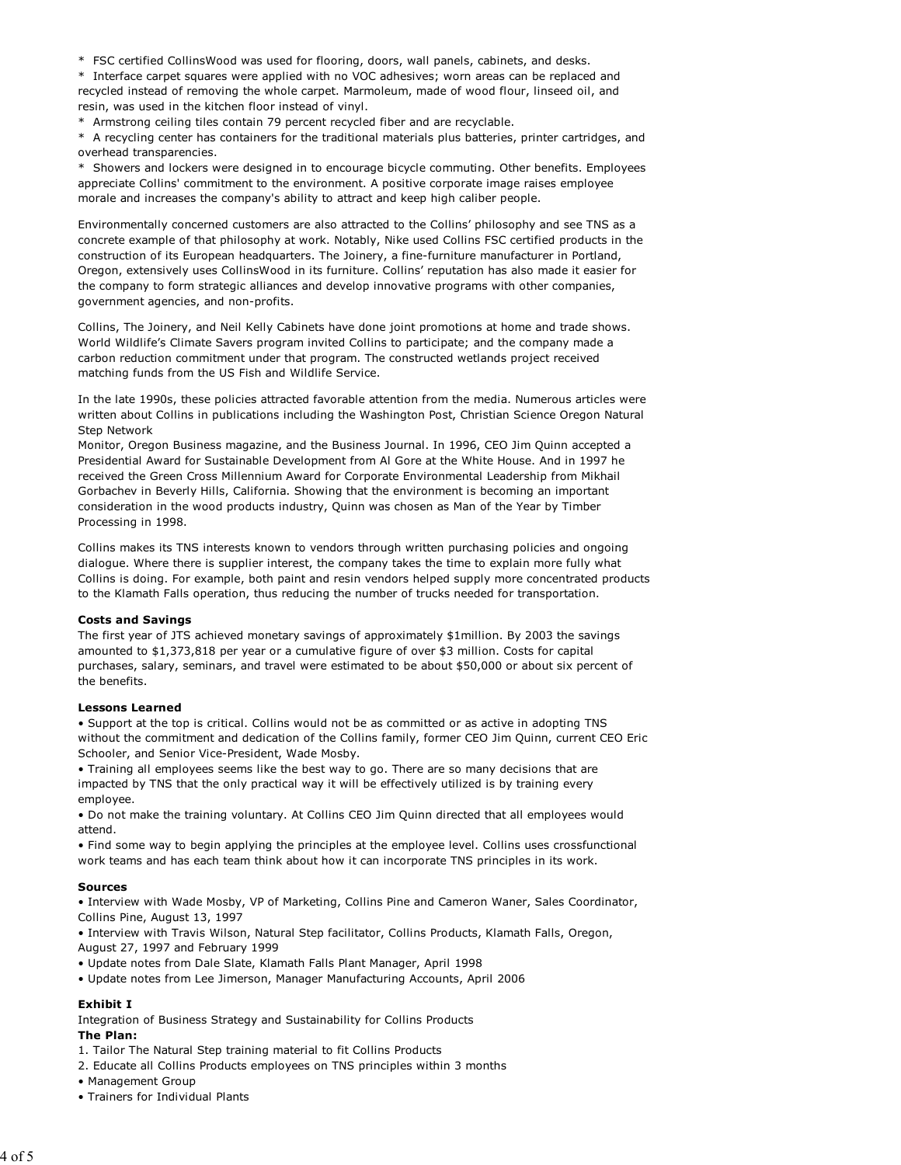\* FSC certified CollinsWood was used for flooring, doors, wall panels, cabinets, and desks.

\* Interface carpet squares were applied with no VOC adhesives; worn areas can be replaced and recycled instead of removing the whole carpet. Marmoleum, made of wood flour, linseed oil, and resin, was used in the kitchen floor instead of vinyl.

\* Armstrong ceiling tiles contain 79 percent recycled fiber and are recyclable.

\* A recycling center has containers for the traditional materials plus batteries, printer cartridges, and overhead transparencies.

\* Showers and lockers were designed in to encourage bicycle commuting. Other benefits. Employees appreciate Collins' commitment to the environment. A positive corporate image raises employee morale and increases the company's ability to attract and keep high caliber people.

Environmentally concerned customers are also attracted to the Collins' philosophy and see TNS as a concrete example of that philosophy at work. Notably, Nike used Collins FSC certified products in the construction of its European headquarters. The Joinery, a fine-furniture manufacturer in Portland, Oregon, extensively uses CollinsWood in its furniture. Collins' reputation has also made it easier for the company to form strategic alliances and develop innovative programs with other companies, government agencies, and non-profits.

Collins, The Joinery, and Neil Kelly Cabinets have done joint promotions at home and trade shows. World Wildlife's Climate Savers program invited Collins to participate; and the company made a carbon reduction commitment under that program. The constructed wetlands project received matching funds from the US Fish and Wildlife Service.

In the late 1990s, these policies attracted favorable attention from the media. Numerous articles were written about Collins in publications including the Washington Post, Christian Science Oregon Natural Step Network

Monitor, Oregon Business magazine, and the Business Journal. In 1996, CEO Jim Quinn accepted a Presidential Award for Sustainable Development from Al Gore at the White House. And in 1997 he received the Green Cross Millennium Award for Corporate Environmental Leadership from Mikhail Gorbachev in Beverly Hills, California. Showing that the environment is becoming an important consideration in the wood products industry, Quinn was chosen as Man of the Year by Timber Processing in 1998.

Collins makes its TNS interests known to vendors through written purchasing policies and ongoing dialogue. Where there is supplier interest, the company takes the time to explain more fully what Collins is doing. For example, both paint and resin vendors helped supply more concentrated products to the Klamath Falls operation, thus reducing the number of trucks needed for transportation.

#### **Costs and Savings**

The first year of JTS achieved monetary savings of approximately \$1million. By 2003 the savings amounted to \$1,373,818 per year or a cumulative figure of over \$3 million. Costs for capital purchases, salary, seminars, and travel were estimated to be about \$50,000 or about six percent of the benefits.

#### **Lessons Learned**

• Support at the top is critical. Collins would not be as committed or as active in adopting TNS without the commitment and dedication of the Collins family, former CEO Jim Quinn, current CEO Eric Schooler, and Senior Vice-President, Wade Mosby.

• Training all employees seems like the best way to go. There are so many decisions that are impacted by TNS that the only practical way it will be effectively utilized is by training every employee.

• Do not make the training voluntary. At Collins CEO Jim Quinn directed that all employees would attend.

• Find some way to begin applying the principles at the employee level. Collins uses crossfunctional work teams and has each team think about how it can incorporate TNS principles in its work.

#### **Sources**

• Interview with Wade Mosby, VP of Marketing, Collins Pine and Cameron Waner, Sales Coordinator, Collins Pine, August 13, 1997

• Interview with Travis Wilson, Natural Step facilitator, Collins Products, Klamath Falls, Oregon, August 27, 1997 and February 1999

- Update notes from Dale Slate, Klamath Falls Plant Manager, April 1998
- Update notes from Lee Jimerson, Manager Manufacturing Accounts, April 2006

# **Exhibit I**

Integration of Business Strategy and Sustainability for Collins Products

# **The Plan:**

1. Tailor The Natural Step training material to fit Collins Products

- 2. Educate all Collins Products employees on TNS principles within 3 months
- Management Group
- Trainers for Individual Plants